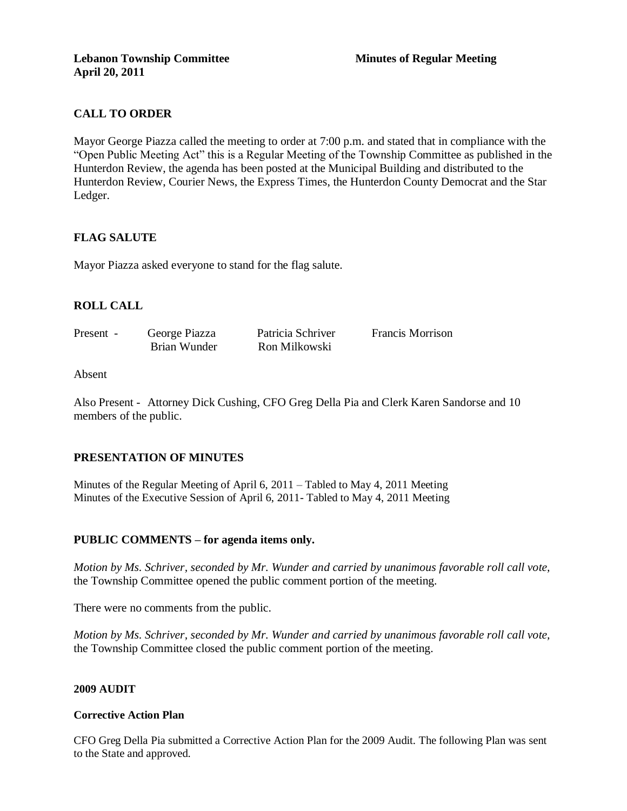# **CALL TO ORDER**

Mayor George Piazza called the meeting to order at 7:00 p.m. and stated that in compliance with the "Open Public Meeting Act" this is a Regular Meeting of the Township Committee as published in the Hunterdon Review, the agenda has been posted at the Municipal Building and distributed to the Hunterdon Review, Courier News, the Express Times, the Hunterdon County Democrat and the Star Ledger.

## **FLAG SALUTE**

Mayor Piazza asked everyone to stand for the flag salute.

# **ROLL CALL**

| Present - | George Piazza | Patricia Schriver | <b>Francis Morrison</b> |
|-----------|---------------|-------------------|-------------------------|
|           | Brian Wunder  | Ron Milkowski     |                         |

### Absent

Also Present - Attorney Dick Cushing, CFO Greg Della Pia and Clerk Karen Sandorse and 10 members of the public.

## **PRESENTATION OF MINUTES**

Minutes of the Regular Meeting of April 6, 2011 – Tabled to May 4, 2011 Meeting Minutes of the Executive Session of April 6, 2011- Tabled to May 4, 2011 Meeting

## **PUBLIC COMMENTS – for agenda items only.**

*Motion by Ms. Schriver, seconded by Mr. Wunder and carried by unanimous favorable roll call vote,* the Township Committee opened the public comment portion of the meeting.

There were no comments from the public.

*Motion by Ms. Schriver, seconded by Mr. Wunder and carried by unanimous favorable roll call vote,* the Township Committee closed the public comment portion of the meeting.

### **2009 AUDIT**

### **Corrective Action Plan**

CFO Greg Della Pia submitted a Corrective Action Plan for the 2009 Audit. The following Plan was sent to the State and approved.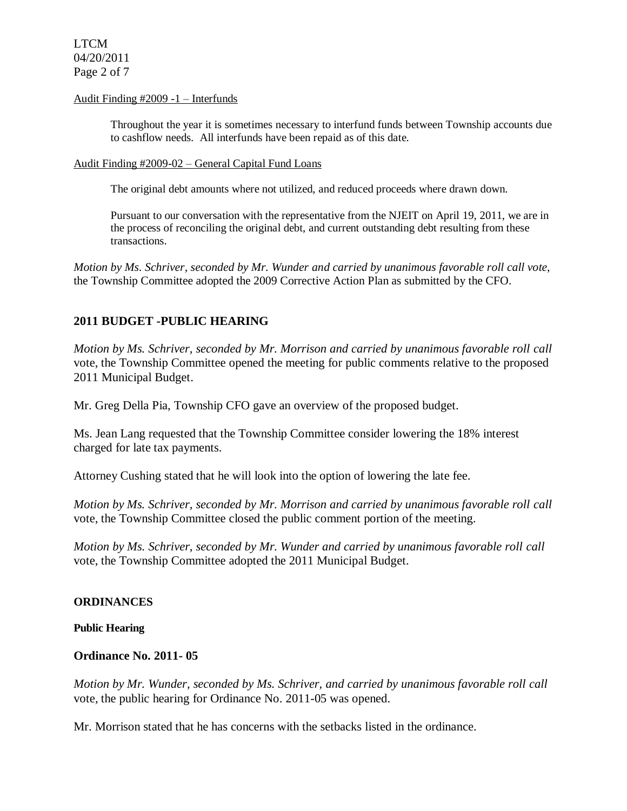LTCM 04/20/2011 Page 2 of 7

### Audit Finding #2009 -1 – Interfunds

Throughout the year it is sometimes necessary to interfund funds between Township accounts due to cashflow needs. All interfunds have been repaid as of this date.

#### Audit Finding #2009-02 – General Capital Fund Loans

The original debt amounts where not utilized, and reduced proceeds where drawn down.

Pursuant to our conversation with the representative from the NJEIT on April 19, 2011, we are in the process of reconciling the original debt, and current outstanding debt resulting from these transactions.

*Motion by Ms. Schriver, seconded by Mr. Wunder and carried by unanimous favorable roll call vote,* the Township Committee adopted the 2009 Corrective Action Plan as submitted by the CFO.

## **2011 BUDGET -PUBLIC HEARING**

*Motion by Ms. Schriver, seconded by Mr. Morrison and carried by unanimous favorable roll call*  vote, the Township Committee opened the meeting for public comments relative to the proposed 2011 Municipal Budget.

Mr. Greg Della Pia, Township CFO gave an overview of the proposed budget.

Ms. Jean Lang requested that the Township Committee consider lowering the 18% interest charged for late tax payments.

Attorney Cushing stated that he will look into the option of lowering the late fee.

*Motion by Ms. Schriver, seconded by Mr. Morrison and carried by unanimous favorable roll call*  vote, the Township Committee closed the public comment portion of the meeting.

*Motion by Ms. Schriver, seconded by Mr. Wunder and carried by unanimous favorable roll call*  vote, the Township Committee adopted the 2011 Municipal Budget.

### **ORDINANCES**

### **Public Hearing**

### **Ordinance No. 2011- 05**

*Motion by Mr. Wunder, seconded by Ms. Schriver, and carried by unanimous favorable roll call*  vote*,* the public hearing for Ordinance No. 2011-05 was opened.

Mr. Morrison stated that he has concerns with the setbacks listed in the ordinance.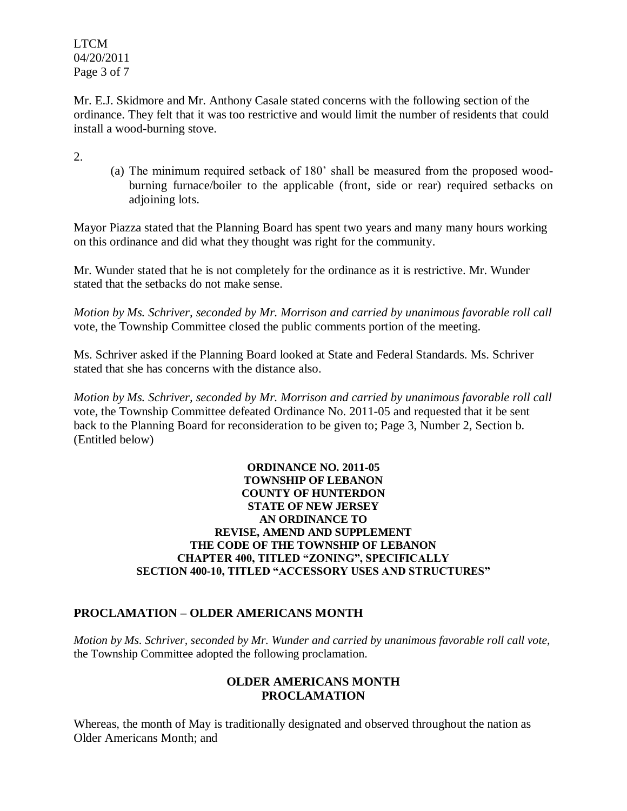LTCM 04/20/2011 Page 3 of 7

Mr. E.J. Skidmore and Mr. Anthony Casale stated concerns with the following section of the ordinance. They felt that it was too restrictive and would limit the number of residents that could install a wood-burning stove.

2.

(a) The minimum required setback of 180' shall be measured from the proposed woodburning furnace/boiler to the applicable (front, side or rear) required setbacks on adjoining lots.

Mayor Piazza stated that the Planning Board has spent two years and many many hours working on this ordinance and did what they thought was right for the community.

Mr. Wunder stated that he is not completely for the ordinance as it is restrictive. Mr. Wunder stated that the setbacks do not make sense.

*Motion by Ms. Schriver, seconded by Mr. Morrison and carried by unanimous favorable roll call*  vote, the Township Committee closed the public comments portion of the meeting.

Ms. Schriver asked if the Planning Board looked at State and Federal Standards. Ms. Schriver stated that she has concerns with the distance also.

*Motion by Ms. Schriver, seconded by Mr. Morrison and carried by unanimous favorable roll call*  vote, the Township Committee defeated Ordinance No. 2011-05 and requested that it be sent back to the Planning Board for reconsideration to be given to; Page 3, Number 2, Section b. (Entitled below)

### **ORDINANCE NO. 2011-05 TOWNSHIP OF LEBANON COUNTY OF HUNTERDON STATE OF NEW JERSEY AN ORDINANCE TO REVISE, AMEND AND SUPPLEMENT THE CODE OF THE TOWNSHIP OF LEBANON CHAPTER 400, TITLED "ZONING", SPECIFICALLY SECTION 400-10, TITLED "ACCESSORY USES AND STRUCTURES"**

# **PROCLAMATION – OLDER AMERICANS MONTH**

*Motion by Ms. Schriver, seconded by Mr. Wunder and carried by unanimous favorable roll call vote,* the Township Committee adopted the following proclamation.

# **OLDER AMERICANS MONTH PROCLAMATION**

Whereas, the month of May is traditionally designated and observed throughout the nation as Older Americans Month; and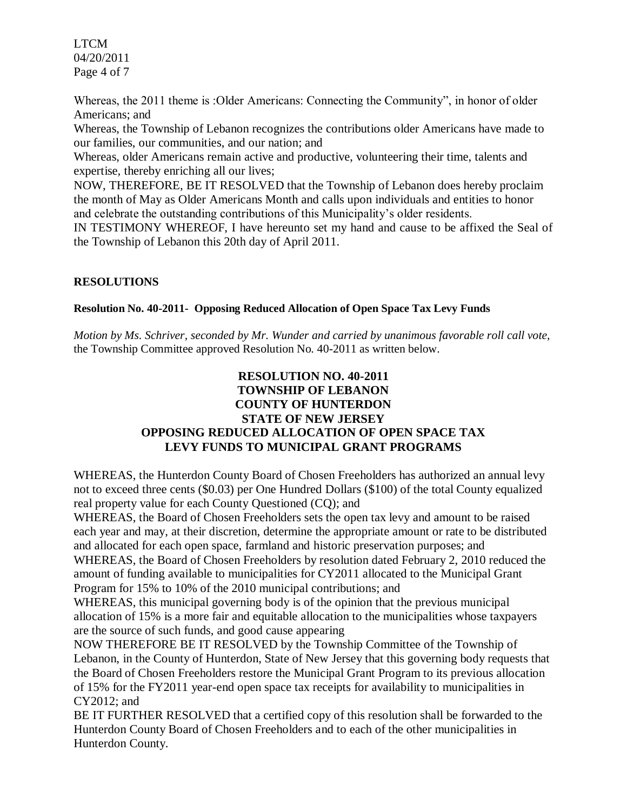LTCM 04/20/2011 Page 4 of 7

Whereas, the 2011 theme is :Older Americans: Connecting the Community", in honor of older Americans; and

Whereas, the Township of Lebanon recognizes the contributions older Americans have made to our families, our communities, and our nation; and

Whereas, older Americans remain active and productive, volunteering their time, talents and expertise, thereby enriching all our lives;

NOW, THEREFORE, BE IT RESOLVED that the Township of Lebanon does hereby proclaim the month of May as Older Americans Month and calls upon individuals and entities to honor and celebrate the outstanding contributions of this Municipality's older residents.

IN TESTIMONY WHEREOF, I have hereunto set my hand and cause to be affixed the Seal of the Township of Lebanon this 20th day of April 2011.

# **RESOLUTIONS**

## **Resolution No. 40-2011- Opposing Reduced Allocation of Open Space Tax Levy Funds**

*Motion by Ms. Schriver, seconded by Mr. Wunder and carried by unanimous favorable roll call vote,* the Township Committee approved Resolution No. 40-2011 as written below.

# **RESOLUTION NO. 40-2011 TOWNSHIP OF LEBANON COUNTY OF HUNTERDON STATE OF NEW JERSEY OPPOSING REDUCED ALLOCATION OF OPEN SPACE TAX LEVY FUNDS TO MUNICIPAL GRANT PROGRAMS**

WHEREAS, the Hunterdon County Board of Chosen Freeholders has authorized an annual levy not to exceed three cents (\$0.03) per One Hundred Dollars (\$100) of the total County equalized real property value for each County Questioned (CQ); and

WHEREAS, the Board of Chosen Freeholders sets the open tax levy and amount to be raised each year and may, at their discretion, determine the appropriate amount or rate to be distributed and allocated for each open space, farmland and historic preservation purposes; and WHEREAS, the Board of Chosen Freeholders by resolution dated February 2, 2010 reduced the amount of funding available to municipalities for CY2011 allocated to the Municipal Grant Program for 15% to 10% of the 2010 municipal contributions; and

WHEREAS, this municipal governing body is of the opinion that the previous municipal allocation of 15% is a more fair and equitable allocation to the municipalities whose taxpayers are the source of such funds, and good cause appearing

NOW THEREFORE BE IT RESOLVED by the Township Committee of the Township of Lebanon, in the County of Hunterdon, State of New Jersey that this governing body requests that the Board of Chosen Freeholders restore the Municipal Grant Program to its previous allocation of 15% for the FY2011 year-end open space tax receipts for availability to municipalities in CY2012; and

BE IT FURTHER RESOLVED that a certified copy of this resolution shall be forwarded to the Hunterdon County Board of Chosen Freeholders and to each of the other municipalities in Hunterdon County.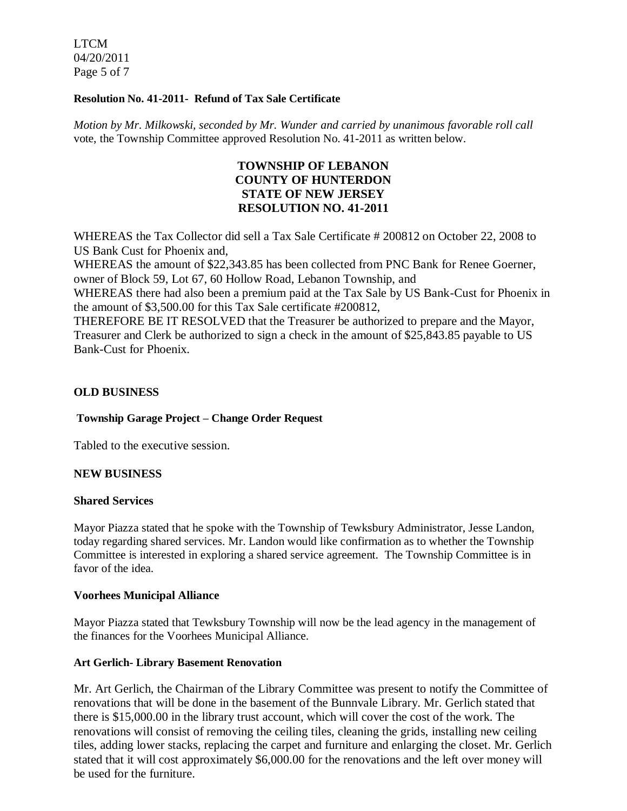LTCM 04/20/2011 Page 5 of 7

### **Resolution No. 41-2011- Refund of Tax Sale Certificate**

*Motion by Mr. Milkowski, seconded by Mr. Wunder and carried by unanimous favorable roll call*  vote, the Township Committee approved Resolution No. 41-2011 as written below.

# **TOWNSHIP OF LEBANON COUNTY OF HUNTERDON STATE OF NEW JERSEY RESOLUTION NO. 41-2011**

WHEREAS the Tax Collector did sell a Tax Sale Certificate # 200812 on October 22, 2008 to US Bank Cust for Phoenix and,

WHEREAS the amount of \$22,343.85 has been collected from PNC Bank for Renee Goerner, owner of Block 59, Lot 67, 60 Hollow Road, Lebanon Township, and

WHEREAS there had also been a premium paid at the Tax Sale by US Bank-Cust for Phoenix in the amount of \$3,500.00 for this Tax Sale certificate #200812,

THEREFORE BE IT RESOLVED that the Treasurer be authorized to prepare and the Mayor, Treasurer and Clerk be authorized to sign a check in the amount of \$25,843.85 payable to US Bank-Cust for Phoenix.

## **OLD BUSINESS**

### **Township Garage Project – Change Order Request**

Tabled to the executive session.

### **NEW BUSINESS**

### **Shared Services**

Mayor Piazza stated that he spoke with the Township of Tewksbury Administrator, Jesse Landon, today regarding shared services. Mr. Landon would like confirmation as to whether the Township Committee is interested in exploring a shared service agreement. The Township Committee is in favor of the idea.

### **Voorhees Municipal Alliance**

Mayor Piazza stated that Tewksbury Township will now be the lead agency in the management of the finances for the Voorhees Municipal Alliance.

## **Art Gerlich- Library Basement Renovation**

Mr. Art Gerlich, the Chairman of the Library Committee was present to notify the Committee of renovations that will be done in the basement of the Bunnvale Library. Mr. Gerlich stated that there is \$15,000.00 in the library trust account, which will cover the cost of the work. The renovations will consist of removing the ceiling tiles, cleaning the grids, installing new ceiling tiles, adding lower stacks, replacing the carpet and furniture and enlarging the closet. Mr. Gerlich stated that it will cost approximately \$6,000.00 for the renovations and the left over money will be used for the furniture.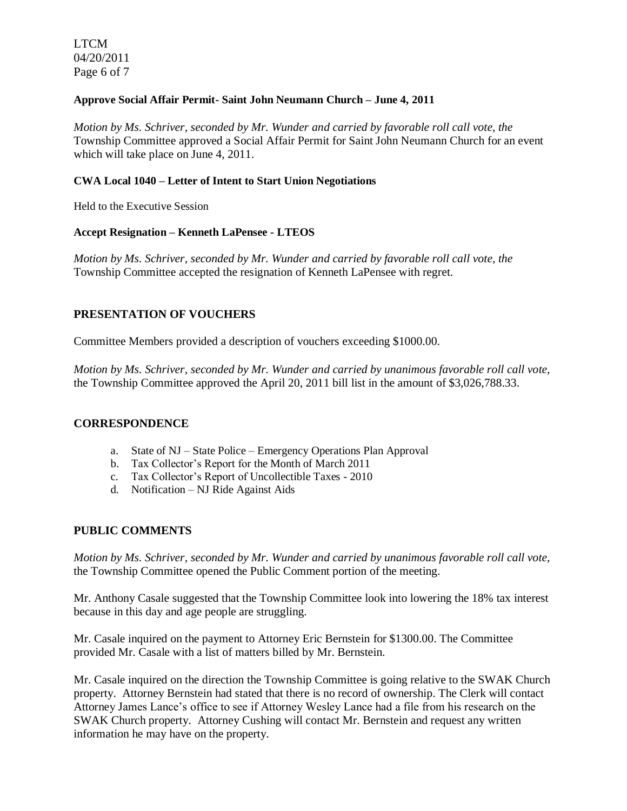LTCM 04/20/2011 Page 6 of 7

### **Approve Social Affair Permit- Saint John Neumann Church – June 4, 2011**

*Motion by Ms. Schriver, seconded by Mr. Wunder and carried by favorable roll call vote, the* Township Committee approved a Social Affair Permit for Saint John Neumann Church for an event which will take place on June 4, 2011.

### **CWA Local 1040 – Letter of Intent to Start Union Negotiations**

Held to the Executive Session

### **Accept Resignation – Kenneth LaPensee - LTEOS**

*Motion by Ms. Schriver, seconded by Mr. Wunder and carried by favorable roll call vote, the* Township Committee accepted the resignation of Kenneth LaPensee with regret.

## **PRESENTATION OF VOUCHERS**

Committee Members provided a description of vouchers exceeding \$1000.00.

*Motion by Ms. Schriver, seconded by Mr. Wunder and carried by unanimous favorable roll call vote,* the Township Committee approved the April 20, 2011 bill list in the amount of \$3,026,788.33.

### **CORRESPONDENCE**

- a. State of NJ State Police Emergency Operations Plan Approval
- b. Tax Collector's Report for the Month of March 2011
- c. Tax Collector's Report of Uncollectible Taxes 2010
- d. Notification NJ Ride Against Aids

## **PUBLIC COMMENTS**

*Motion by Ms. Schriver, seconded by Mr. Wunder and carried by unanimous favorable roll call vote,* the Township Committee opened the Public Comment portion of the meeting.

Mr. Anthony Casale suggested that the Township Committee look into lowering the 18% tax interest because in this day and age people are struggling.

Mr. Casale inquired on the payment to Attorney Eric Bernstein for \$1300.00. The Committee provided Mr. Casale with a list of matters billed by Mr. Bernstein.

Mr. Casale inquired on the direction the Township Committee is going relative to the SWAK Church property. Attorney Bernstein had stated that there is no record of ownership. The Clerk will contact Attorney James Lance's office to see if Attorney Wesley Lance had a file from his research on the SWAK Church property. Attorney Cushing will contact Mr. Bernstein and request any written information he may have on the property.